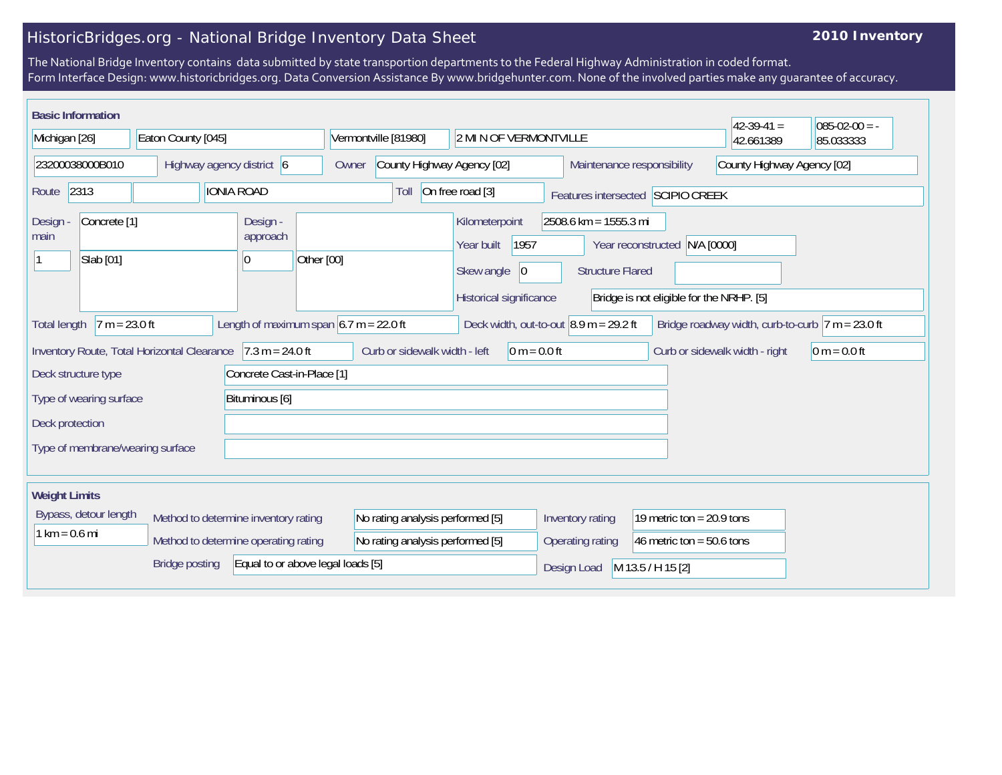## HistoricBridges.org - National Bridge Inventory Data Sheet

## **2010 Inventory**

The National Bridge Inventory contains data submitted by state transportion departments to the Federal Highway Administration in coded format. Form Interface Design: www.historicbridges.org. Data Conversion Assistance By www.bridgehunter.com. None of the involved parties make any guarantee of accuracy.

| <b>Basic Information</b>                                                                                                                                                                                |                                           |                    |                                      |            |                                  |                                                                                      |                                                  |                                                                | $42-39-41=$                    | $085-02-00 = -$ |
|---------------------------------------------------------------------------------------------------------------------------------------------------------------------------------------------------------|-------------------------------------------|--------------------|--------------------------------------|------------|----------------------------------|--------------------------------------------------------------------------------------|--------------------------------------------------|----------------------------------------------------------------|--------------------------------|-----------------|
| Michigan [26]                                                                                                                                                                                           |                                           | Eaton County [045] |                                      |            | Vermontville [81980]             | 2 MI N OF VERMONTVILLE                                                               |                                                  |                                                                | 42.661389                      | 85.033333       |
| 23200038000B010                                                                                                                                                                                         |                                           |                    | Highway agency district 6            | Owner      | County Highway Agency [02]       |                                                                                      |                                                  | Maintenance responsibility                                     | County Highway Agency [02]     |                 |
| 2313<br>Route                                                                                                                                                                                           |                                           |                    | <b>IONIA ROAD</b>                    |            | Toll                             | On free road [3]                                                                     |                                                  | Features intersected SCIPIO CREEK                              |                                |                 |
| Design<br>main                                                                                                                                                                                          | Concrete <sup>[1]</sup><br>Slab [01]      |                    | Design -<br>approach<br>10           | Other [00] |                                  | Kilometerpoint<br>1957<br>Year built<br>Skew angle<br> 0 <br>Historical significance | 2508.6 km = 1555.3 mi<br><b>Structure Flared</b> | Year reconstructed<br>Bridge is not eligible for the NRHP. [5] | N/A [0000]                     |                 |
| Length of maximum span $6.7$ m = 22.0 ft<br>$7 m = 23.0 ft$<br>Bridge roadway width, curb-to-curb $ 7 m = 23.0$ ft<br>Deck width, out-to-out $ 8.9 \text{ m} = 29.2 \text{ ft} $<br><b>Total length</b> |                                           |                    |                                      |            |                                  |                                                                                      |                                                  |                                                                |                                |                 |
| Inventory Route, Total Horizontal Clearance                                                                                                                                                             |                                           |                    | $7.3 m = 24.0 ft$                    |            | Curb or sidewalk width - left    | $0 m = 0.0 ft$                                                                       |                                                  |                                                                | Curb or sidewalk width - right | $0 m = 0.0 ft$  |
| Deck structure type                                                                                                                                                                                     |                                           |                    | Concrete Cast-in-Place [1]           |            |                                  |                                                                                      |                                                  |                                                                |                                |                 |
|                                                                                                                                                                                                         | Bituminous [6]<br>Type of wearing surface |                    |                                      |            |                                  |                                                                                      |                                                  |                                                                |                                |                 |
| Deck protection                                                                                                                                                                                         |                                           |                    |                                      |            |                                  |                                                                                      |                                                  |                                                                |                                |                 |
| Type of membrane/wearing surface                                                                                                                                                                        |                                           |                    |                                      |            |                                  |                                                                                      |                                                  |                                                                |                                |                 |
| <b>Weight Limits</b>                                                                                                                                                                                    |                                           |                    |                                      |            |                                  |                                                                                      |                                                  |                                                                |                                |                 |
| Bypass, detour length                                                                                                                                                                                   |                                           |                    | Method to determine inventory rating |            | No rating analysis performed [5] |                                                                                      | Inventory rating                                 | 19 metric ton = $20.9$ tons                                    |                                |                 |
| $1 km = 0.6 mi$                                                                                                                                                                                         |                                           |                    | Method to determine operating rating |            | No rating analysis performed [5] |                                                                                      | Operating rating                                 | 46 metric ton = $50.6$ tons                                    |                                |                 |
| Equal to or above legal loads [5]<br><b>Bridge posting</b>                                                                                                                                              |                                           |                    |                                      |            |                                  | Design Load                                                                          | M 13.5 / H 15 [2]                                |                                                                |                                |                 |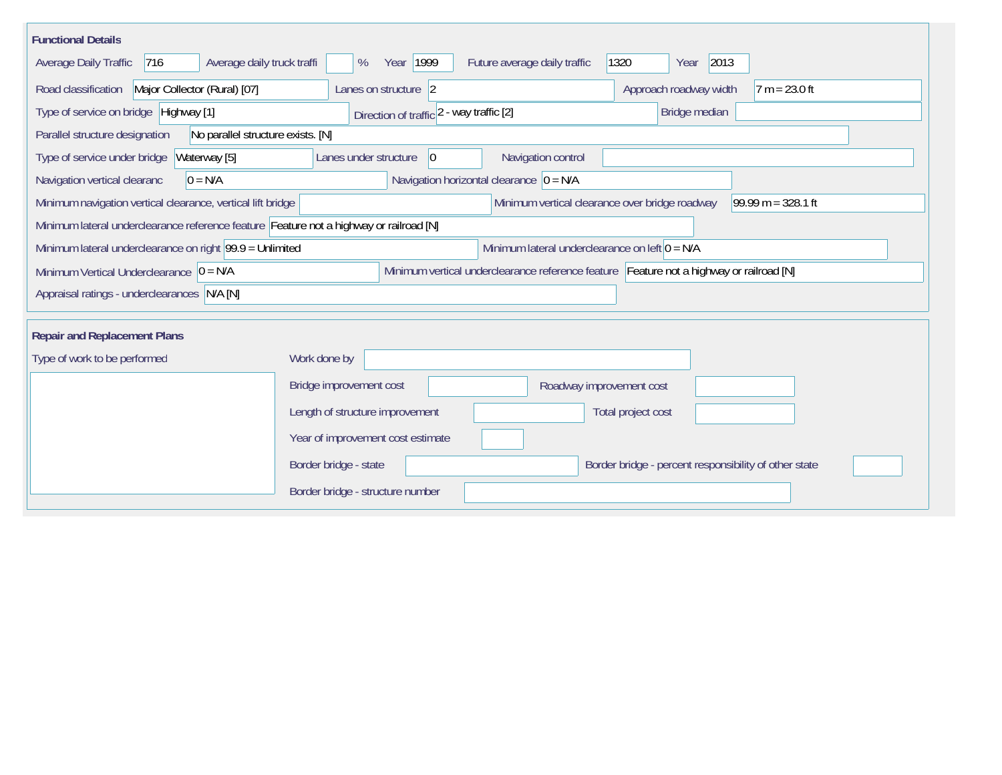| <b>Functional Details</b>                                                                                                             |                                                                                         |  |  |  |  |  |  |  |
|---------------------------------------------------------------------------------------------------------------------------------------|-----------------------------------------------------------------------------------------|--|--|--|--|--|--|--|
| Average daily truck traffi<br>Average Daily Traffic<br> 716                                                                           | 1320<br>2013<br>Year 1999<br>Future average daily traffic<br>%<br>Year                  |  |  |  |  |  |  |  |
| Road classification<br>Major Collector (Rural) [07]                                                                                   | Approach roadway width<br>Lanes on structure 2<br>$7 m = 23.0 ft$                       |  |  |  |  |  |  |  |
| Type of service on bridge Highway [1]                                                                                                 | Bridge median<br>Direction of traffic 2 - way traffic [2]                               |  |  |  |  |  |  |  |
| No parallel structure exists. [N]<br>Parallel structure designation                                                                   |                                                                                         |  |  |  |  |  |  |  |
| Waterway [5]<br>Type of service under bridge                                                                                          | Navigation control<br>Lanes under structure<br> 0                                       |  |  |  |  |  |  |  |
| $0 = N/A$<br>Navigation vertical clearanc                                                                                             | Navigation horizontal clearance $ 0 = N/A$                                              |  |  |  |  |  |  |  |
| 99.99 m = $328.1$ ft<br>Minimum navigation vertical clearance, vertical lift bridge<br>Minimum vertical clearance over bridge roadway |                                                                                         |  |  |  |  |  |  |  |
| Minimum lateral underclearance reference feature Feature not a highway or railroad [N]                                                |                                                                                         |  |  |  |  |  |  |  |
| Minimum lateral underclearance on right $99.9 =$ Unlimited                                                                            | Minimum lateral underclearance on left $0 = N/A$                                        |  |  |  |  |  |  |  |
| Minimum Vertical Underclearance $ 0 = N/A$                                                                                            | Minimum vertical underclearance reference feature Feature not a highway or railroad [N] |  |  |  |  |  |  |  |
| Appraisal ratings - underclearances N/A [N]                                                                                           |                                                                                         |  |  |  |  |  |  |  |
|                                                                                                                                       |                                                                                         |  |  |  |  |  |  |  |
| <b>Repair and Replacement Plans</b>                                                                                                   |                                                                                         |  |  |  |  |  |  |  |
| Type of work to be performed                                                                                                          | Work done by                                                                            |  |  |  |  |  |  |  |
|                                                                                                                                       | Bridge improvement cost<br>Roadway improvement cost                                     |  |  |  |  |  |  |  |
|                                                                                                                                       | Length of structure improvement<br>Total project cost                                   |  |  |  |  |  |  |  |
|                                                                                                                                       | Year of improvement cost estimate                                                       |  |  |  |  |  |  |  |
|                                                                                                                                       | Border bridge - state<br>Border bridge - percent responsibility of other state          |  |  |  |  |  |  |  |
|                                                                                                                                       | Border bridge - structure number                                                        |  |  |  |  |  |  |  |